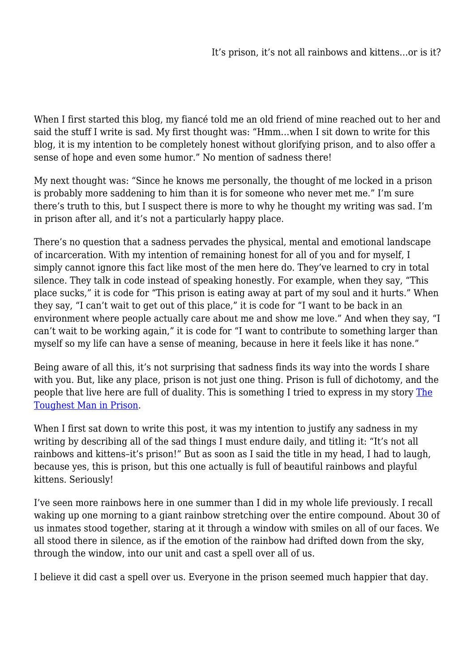When I first started this blog, my fiancé told me an old friend of mine reached out to her and said the stuff I write is sad. My first thought was: "Hmm…when I sit down to write for this blog, it is my intention to be completely honest without glorifying prison, and to also offer a sense of hope and even some humor." No mention of sadness there!

My next thought was: "Since he knows me personally, the thought of me locked in a prison is probably more saddening to him than it is for someone who never met me." I'm sure there's truth to this, but I suspect there is more to why he thought my writing was sad. I'm in prison after all, and it's not a particularly happy place.

There's no question that a sadness pervades the physical, mental and emotional landscape of incarceration. With my intention of remaining honest for all of you and for myself, I simply cannot ignore this fact like most of the men here do. They've learned to cry in total silence. They talk in code instead of speaking honestly. For example, when they say, "This place sucks," it is code for "This prison is eating away at part of my soul and it hurts." When they say, "I can't wait to get out of this place," it is code for "I want to be back in an environment where people actually care about me and show me love." And when they say, "I can't wait to be working again," it is code for "I want to contribute to something larger than myself so my life can have a sense of meaning, because in here it feels like it has none."

Being aware of all this, it's not surprising that sadness finds its way into the words I share with you. But, like any place, prison is not just one thing. Prison is full of dichotomy, and the people that live here are full of duality. This is something I tried to express in my story [The](https://preparingforfreedom.org/2021/07/04/toughest-man-in-prison/) [Toughest Man in Prison](https://preparingforfreedom.org/2021/07/04/toughest-man-in-prison/).

When I first sat down to write this post, it was my intention to justify any sadness in my writing by describing all of the sad things I must endure daily, and titling it: "It's not all rainbows and kittens–it's prison!" But as soon as I said the title in my head, I had to laugh, because yes, this is prison, but this one actually is full of beautiful rainbows and playful kittens. Seriously!

I've seen more rainbows here in one summer than I did in my whole life previously. I recall waking up one morning to a giant rainbow stretching over the entire compound. About 30 of us inmates stood together, staring at it through a window with smiles on all of our faces. We all stood there in silence, as if the emotion of the rainbow had drifted down from the sky, through the window, into our unit and cast a spell over all of us.

I believe it did cast a spell over us. Everyone in the prison seemed much happier that day.